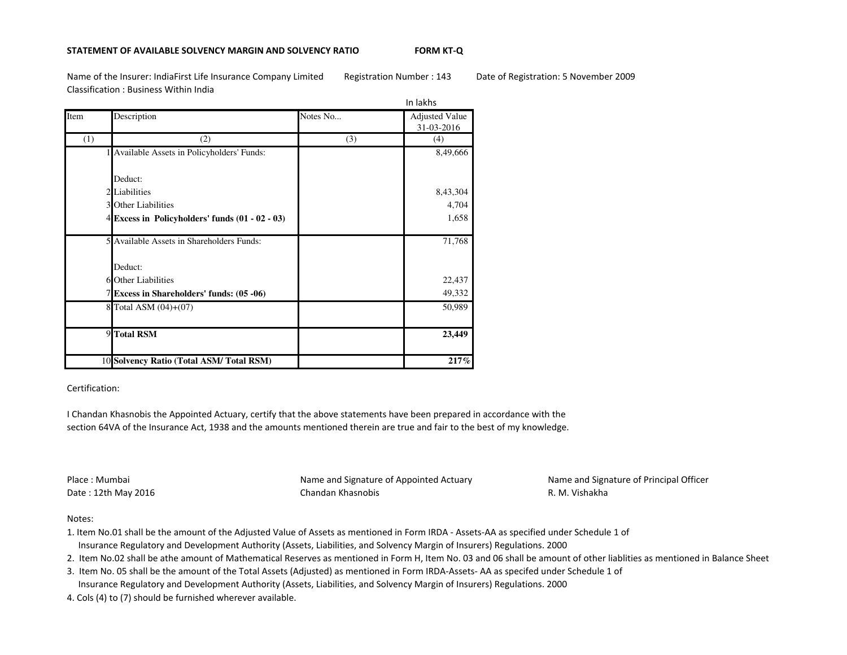## **STATEMENT OF AVAILABLE SOLVENCY MARGIN AND SOLVENCY RATIO**

**FORM KT-Q**

Name of the Insurer: IndiaFirst Life Insurance Company Limited Registration Number : 143 Date of Registration: 5 November 2009Classification : Business Within India

|      |                                                 | In lakhs |                       |
|------|-------------------------------------------------|----------|-----------------------|
| Item | Description                                     | Notes No | <b>Adjusted Value</b> |
|      |                                                 |          | 31-03-2016            |
| (1)  | (2)                                             | (3)      | (4)                   |
|      | 1 Available Assets in Policyholders' Funds:     |          | 8,49,666              |
|      |                                                 |          |                       |
|      | Deduct:                                         |          |                       |
|      | 2 Liabilities                                   |          | 8,43,304              |
|      | 3 Other Liabilities                             |          | 4,704                 |
|      | 4 Excess in Policyholders' funds (01 - 02 - 03) |          | 1,658                 |
|      |                                                 |          |                       |
|      | 5 Available Assets in Shareholders Funds:       |          | 71,768                |
|      |                                                 |          |                       |
|      | Deduct:                                         |          |                       |
|      | 6 Other Liabilities                             |          | 22,437                |
|      | 7 Excess in Shareholders' funds: (05 -06)       |          | 49,332                |
|      | 8 Total ASM (04)+(07)                           |          | 50,989                |
|      |                                                 |          |                       |
|      | 9 Total RSM                                     |          | 23,449                |
|      |                                                 |          |                       |
|      | 10 Solvency Ratio (Total ASM/Total RSM)         |          | 217%                  |

Certification:

I Chandan Khasnobis the Appointed Actuary, certify that the above statements have been prepared in accordance with the section 64VA of the Insurance Act, 1938 and the amounts mentioned therein are true and fair to the best of my knowledge.

Place : MumbaiDate : 12th May 2016  Name and Signature of Appointed ActuaryChandan Khasnobis **R. M. Vishakha** 

Name and Signature of Principal Officer

# Notes:

- 1. Item No.01 shall be the amount of the Adjusted Value of Assets as mentioned in Form IRDA Assets-AA as specified under Schedule 1 of Insurance Regulatory and Development Authority (Assets, Liabilities, and Solvency Margin of Insurers) Regulations. 2000
- 2. Item No.02 shall be athe amount of Mathematical Reserves as mentioned in Form H, Item No. 03 and 06 shall be amount of other liablities as mentioned in Balance Sheet
- 3. Item No. 05 shall be the amount of the Total Assets (Adjusted) as mentioned in Form IRDA-Assets- AA as specifed under Schedule 1 of
- Insurance Regulatory and Development Authority (Assets, Liabilities, and Solvency Margin of Insurers) Regulations. 2000
- 4. Cols (4) to (7) should be furnished wherever available.